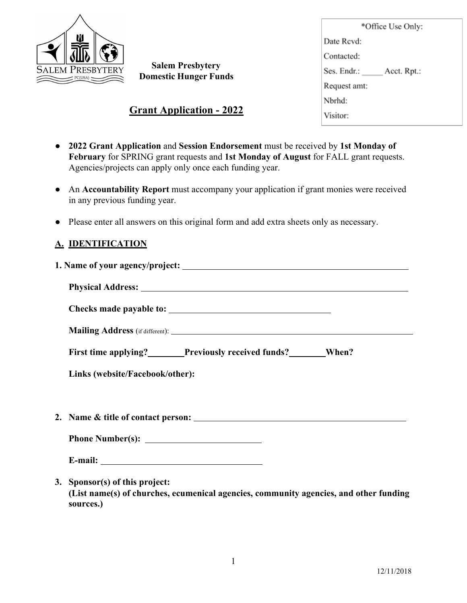

**Salem Presbytery Domestic Hunger Funds**

| *Office Use Only:          |  |
|----------------------------|--|
| Date Rcvd:                 |  |
| Contacted:                 |  |
| Ses. Endr.:<br>Acct. Rpt.: |  |
| Request amt:               |  |
| Nbrhd:                     |  |
| Visitor:                   |  |

## **Grant Application - 2022**

- **2022 Grant Application** and **Session Endorsement** must be received by **1st Monday of February** for SPRING grant requests and **1st Monday of August** for FALL grant requests. Agencies/projects can apply only once each funding year.
- An **Accountability Report** must accompany your application if grant monies were received in any previous funding year.
- Please enter all answers on this original form and add extra sheets only as necessary.

## **A. IDENTIFICATION**

|  | First time applying? Previously received funds? When?                                                                                                                                                                                                               |  |  |  |
|--|---------------------------------------------------------------------------------------------------------------------------------------------------------------------------------------------------------------------------------------------------------------------|--|--|--|
|  | Links (website/Facebook/other):                                                                                                                                                                                                                                     |  |  |  |
|  | 2. Name & title of contact person:                                                                                                                                                                                                                                  |  |  |  |
|  |                                                                                                                                                                                                                                                                     |  |  |  |
|  |                                                                                                                                                                                                                                                                     |  |  |  |
|  | 3. Sponsor(s) of this project:<br>$\sigma$ . The set of the set of the set of the set of the set of the set of the set of the set of the set of the set of the set of the set of the set of the set of the set of the set of the set of the set of the set of the s |  |  |  |

**(List name(s) of churches, ecumenical agencies, community agencies, and other funding sources.)**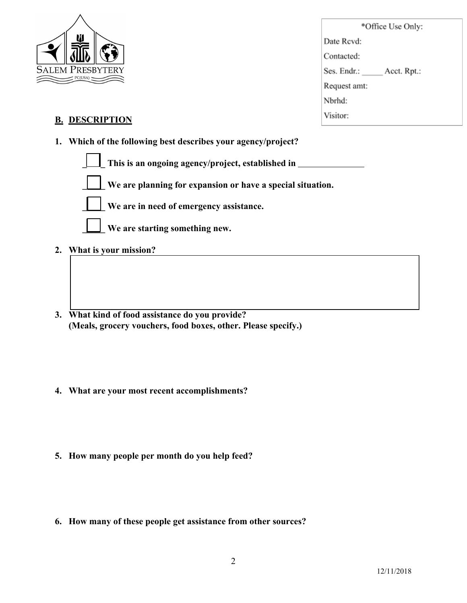

| *Office Use Only:          |  |  |  |  |
|----------------------------|--|--|--|--|
| Date Rcvd:                 |  |  |  |  |
| Contacted:                 |  |  |  |  |
| Ses. Endr.:<br>Acct. Rpt.: |  |  |  |  |
| Request amt:               |  |  |  |  |
| Nbrhd:                     |  |  |  |  |
| Visitor:                   |  |  |  |  |

# **B. DESCRIPTION**

**1. Which of the following best describes your agency/project?**



**\_\_\_** We are planning for expansion or have a special situation.



**\_\_\_** We are starting something new.

- **2. What is your mission?**
- **3. What kind of food assistance do you provide? (Meals, grocery vouchers, food boxes, other. Please specify.)**
- **4. What are your most recent accomplishments?**
- **5. How many people per month do you help feed?**
- **6. How many of these people get assistance from other sources?**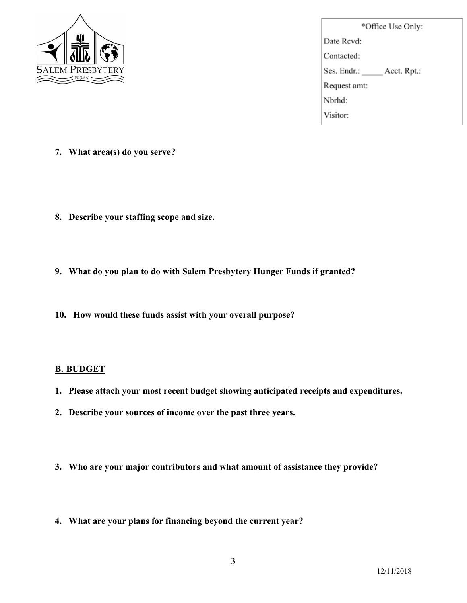

\*Office Use Only: Date Revd: Contacted: Ses. Endr.: Acct. Rpt.: Request amt: Nbrhd: Visitor:

- **7. What area(s) do you serve?**
- **8. Describe your staffing scope and size.**
- **9. What do you plan to do with Salem Presbytery Hunger Funds if granted?**
- **10. How would these funds assist with your overall purpose?**

#### **B. BUDGET**

- **1. Please attach your most recent budget showing anticipated receipts and expenditures.**
- **2. Describe your sources of income over the past three years.**
- **3. Who are your major contributors and what amount of assistance they provide?**
- **4. What are your plans for financing beyond the current year?**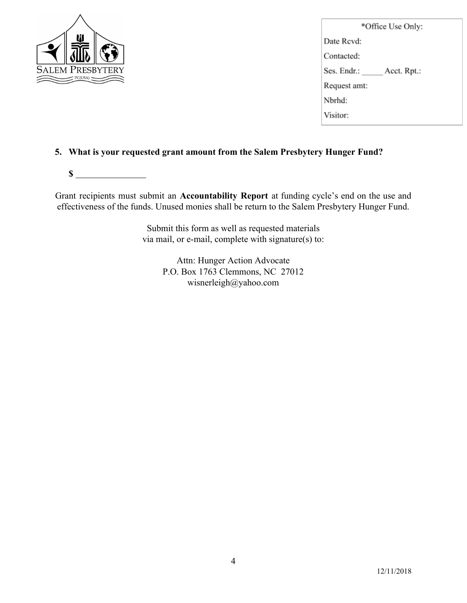

\*Office Use Only: Date Revd: Contacted: Ses. Endr.: \_\_\_\_\_\_ Acct. Rpt.: Request amt: Nbrhd: Visitor:

### **5. What is your requested grant amount from the Salem Presbytery Hunger Fund?**

**\$** 

Grant recipients must submit an **Accountability Report** at funding cycle's end on the use and effectiveness of the funds. Unused monies shall be return to the Salem Presbytery Hunger Fund.

> Submit this form as well as requested materials via mail, or e-mail, complete with signature(s) to:

> > Attn: Hunger Action Advocate P.O. Box 1763 Clemmons, NC 27012 wisnerleigh@yahoo.com